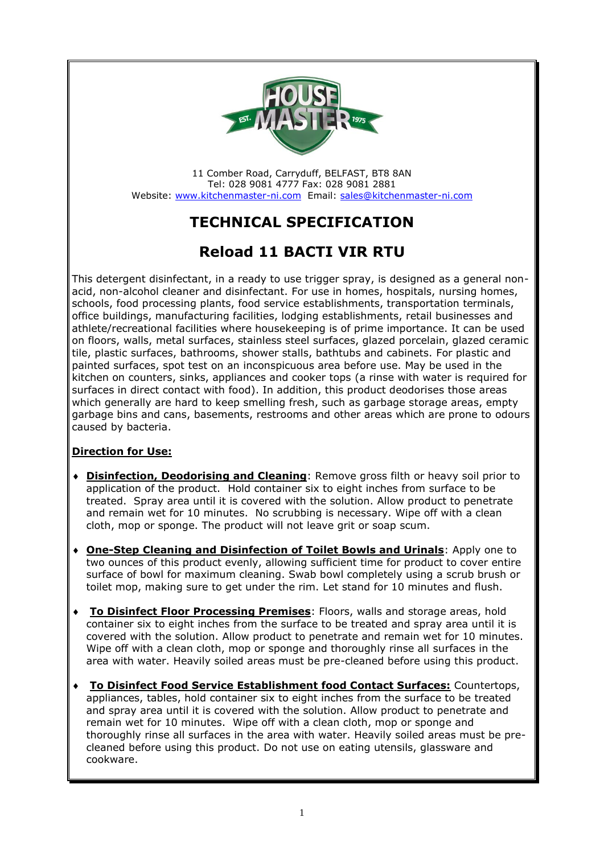

11 Comber Road, Carryduff, BELFAST, BT8 8AN Tel: 028 9081 4777 Fax: 028 9081 2881 Website: [www.kitchenmaster-ni.com](http://www.kitchenmaster-ni.com/) Email: [sales@kitchenmaster-ni.com](mailto:sales@kitchenmaster-ni.com)

# **TECHNICAL SPECIFICATION**

## **Reload 11 BACTI VIR RTU**

This detergent disinfectant, in a ready to use trigger spray, is designed as a general nonacid, non-alcohol cleaner and disinfectant. For use in homes, hospitals, nursing homes, schools, food processing plants, food service establishments, transportation terminals, office buildings, manufacturing facilities, lodging establishments, retail businesses and athlete/recreational facilities where housekeeping is of prime importance. It can be used on floors, walls, metal surfaces, stainless steel surfaces, glazed porcelain, glazed ceramic tile, plastic surfaces, bathrooms, shower stalls, bathtubs and cabinets. For plastic and painted surfaces, spot test on an inconspicuous area before use. May be used in the kitchen on counters, sinks, appliances and cooker tops (a rinse with water is required for surfaces in direct contact with food). In addition, this product deodorises those areas which generally are hard to keep smelling fresh, such as garbage storage areas, empty garbage bins and cans, basements, restrooms and other areas which are prone to odours caused by bacteria.

### **Direction for Use:**

- **Disinfection, Deodorising and Cleaning**: Remove gross filth or heavy soil prior to application of the product. Hold container six to eight inches from surface to be treated. Spray area until it is covered with the solution. Allow product to penetrate and remain wet for 10 minutes. No scrubbing is necessary. Wipe off with a clean cloth, mop or sponge. The product will not leave grit or soap scum.
- **One-Step Cleaning and Disinfection of Toilet Bowls and Urinals**: Apply one to two ounces of this product evenly, allowing sufficient time for product to cover entire surface of bowl for maximum cleaning. Swab bowl completely using a scrub brush or toilet mop, making sure to get under the rim. Let stand for 10 minutes and flush.
- **To Disinfect Floor Processing Premises**: Floors, walls and storage areas, hold container six to eight inches from the surface to be treated and spray area until it is covered with the solution. Allow product to penetrate and remain wet for 10 minutes. Wipe off with a clean cloth, mop or sponge and thoroughly rinse all surfaces in the area with water. Heavily soiled areas must be pre-cleaned before using this product.
- **To Disinfect Food Service Establishment food Contact Surfaces:** Countertops, appliances, tables, hold container six to eight inches from the surface to be treated and spray area until it is covered with the solution. Allow product to penetrate and remain wet for 10 minutes. Wipe off with a clean cloth, mop or sponge and thoroughly rinse all surfaces in the area with water. Heavily soiled areas must be precleaned before using this product. Do not use on eating utensils, glassware and cookware.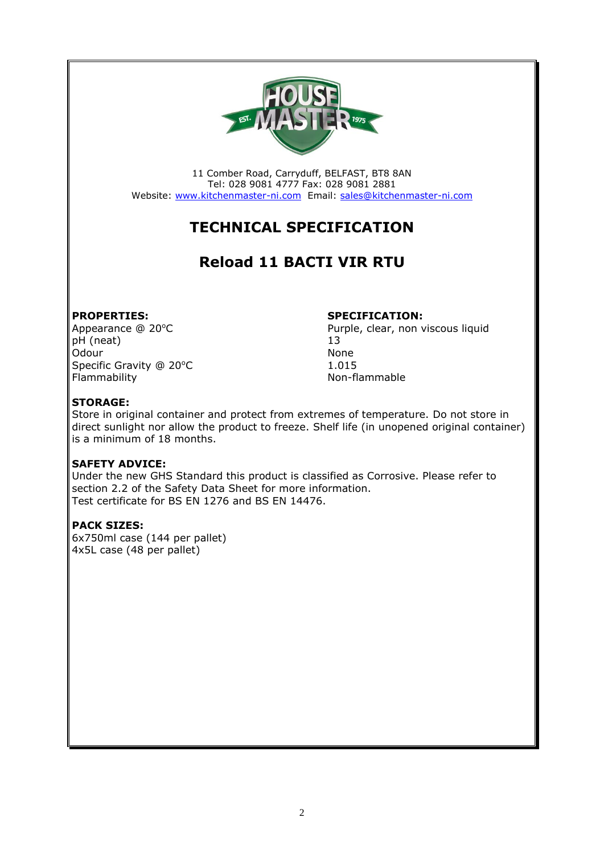

11 Comber Road, Carryduff, BELFAST, BT8 8AN Tel: 028 9081 4777 Fax: 028 9081 2881 Website: [www.kitchenmaster-ni.com](http://www.kitchenmaster-ni.com/) Email: [sales@kitchenmaster-ni.com](mailto:sales@kitchenmaster-ni.com)

# **TECHNICAL SPECIFICATION**

## **Reload 11 BACTI VIR RTU**

**PROPERTIES: SPECIFICATION:**<br>Appearance @ 20°C *Purple, clear, non v* pH (neat) 13 Odour None Specific Gravity @ 20°C<br>Flammability determines a subset of the Non-flammability

Purple, clear, non viscous liquid Non-flammable

### **STORAGE:**

Store in original container and protect from extremes of temperature. Do not store in direct sunlight nor allow the product to freeze. Shelf life (in unopened original container) is a minimum of 18 months.

### **SAFETY ADVICE:**

Under the new GHS Standard this product is classified as Corrosive. Please refer to section 2.2 of the Safety Data Sheet for more information. Test certificate for BS EN 1276 and BS EN 14476.

#### **PACK SIZES:**

6x750ml case (144 per pallet) 4x5L case (48 per pallet)